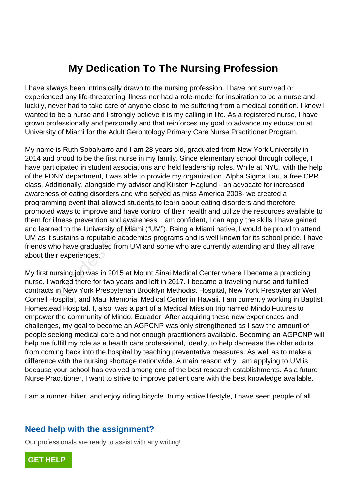## **My Dedication To The Nursing Profession**

I have always been intrinsically drawn to the nursing profession. I have not survived or experienced any life-threatening illness nor had a role-model for inspiration to be a nurse and luckily, never had to take care of anyone close to me suffering from a medical condition. I knew I wanted to be a nurse and I strongly believe it is my calling in life. As a registered nurse, I have grown professionally and personally and that reinforces my goal to advance my education at University of Miami for the Adult Gerontology Primary Care Nurse Practitioner Program.

My name is Ruth Sobalvarro and I am 28 years old, graduated from New York University in 2014 and proud to be the first nurse in my family. Since elementary school through college, I have participated in student associations and held leadership roles. While at NYU, with the help of the FDNY department, I was able to provide my organization, Alpha Sigma Tau, a free CPR class. Additionally, alongside my advisor and Kirsten Haglund - an advocate for increased awareness of eating disorders and who served as miss America 2008- we created a programming event that allowed students to learn about eating disorders and therefore promoted ways to improve and have control of their health and utilize the resources available to them for illness prevention and awareness. I am confident, I can apply the skills I have gained and learned to the University of Miami ("UM"). Being a Miami native, I would be proud to attend UM as it sustains a reputable academics programs and is well known for its school pride. I have friends who have graduated from UM and some who are currently attending and they all rave about their experiences. itionally, alongside my advisor and Kirs<br>s of eating disorders and who served as<br>ing event that allowed students to lear<br>ways to improve and have control of th<br>ness prevention and awareness. I am<br>od to the University of Mi

My first nursing job was in 2015 at Mount Sinai Medical Center where I became a practicing nurse. I worked there for two years and left in 2017. I became a traveling nurse and fulfilled contracts in New York Presbyterian Brooklyn Methodist Hospital, New York Presbyterian Weill Cornell Hospital, and Maui Memorial Medical Center in Hawaii. I am currently working in Baptist Homestead Hospital. I, also, was a part of a Medical Mission trip named Mindo Futures to empower the community of Mindo, Ecuador. After acquiring these new experiences and challenges, my goal to become an AGPCNP was only strengthened as I saw the amount of people seeking medical care and not enough practitioners available. Becoming an AGPCNP will help me fulfill my role as a health care professional, ideally, to help decrease the older adults from coming back into the hospital by teaching preventative measures. As well as to make a difference with the nursing shortage nationwide. A main reason why I am applying to UM is because your school has evolved among one of the best research establishments. As a future Nurse Practitioner, I want to strive to improve patient care with the best knowledge available.

I am a runner, hiker, and enjoy riding bicycle. In my active lifestyle, I have seen people of all

## **Need help with the assignment?**

Our professionals are ready to assist with any writing!